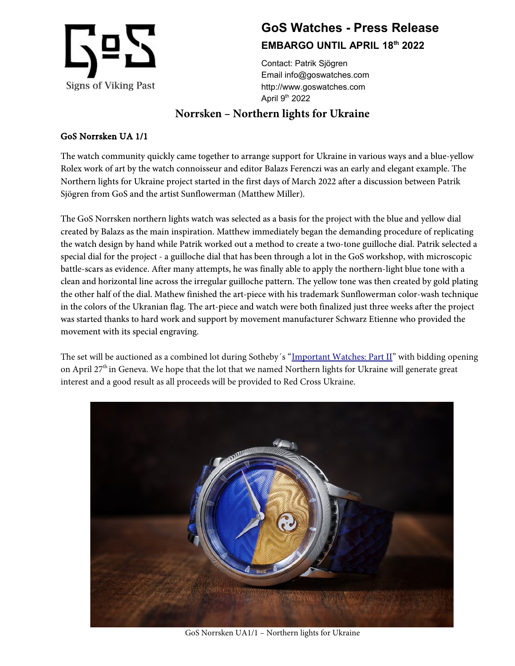

## **GoS Watches - Press Release EMBARGO UNTIL APRIL 18th 2022**

Contact: Patrik Sjögren Email info@goswatches.com http://www.goswatches.com April 9th 2022

## **Norrsken – Northern lights for Ukraine**

## GoS Norrsken UA 1/1

The watch community quickly came together to arrange support for Ukraine in various ways and a blue-yellow Rolex work of art by the watch connoisseur and editor Balazs Ferenczi was an early and elegant example. The Northern lights for Ukraine project started in the first days of March 2022 after a discussion between Patrik Sjögren from GoS and the artist Sunflowerman (Matthew Miller).

The GoS Norrsken northern lights watch was selected as a basis for the project with the blue and yellow dial created by Balazs as the main inspiration. Matthew immediately began the demanding procedure of replicating the watch design by hand while Patrik worked out a method to create a two-tone guilloche dial. Patrik selected a special dial for the project - a guilloche dial that has been through a lot in the GoS workshop, with microscopic battle-scars as evidence. After many attempts, he was finally able to apply the northern-light blue tone with a clean and horizontal line across the irregular guilloche pattern. The yellow tone was then created by gold plating the other half of the dial. Mathew finished the art-piece with his trademark Sunflowerman color-wash technique in the colors of the Ukranian flag. The art-piece and watch were both finalized just three weeks after the project was started thanks to hard work and support by movement manufacturer Schwarz Etienne who provided the movement with its special engraving.

The set will be auctioned as a combined lot during Sotheby´s ["Important Watches: Part II"](https://www.sothebys.com/en/buy/auction/2022/important-watches-part-ii) with bidding opening on April  $27<sup>th</sup>$  in Geneva. We hope that the lot that we named Northern lights for Ukraine will generate great interest and a good result as all proceeds will be provided to Red Cross Ukraine.



GoS Norrsken UA1/1 – Northern lights for Ukraine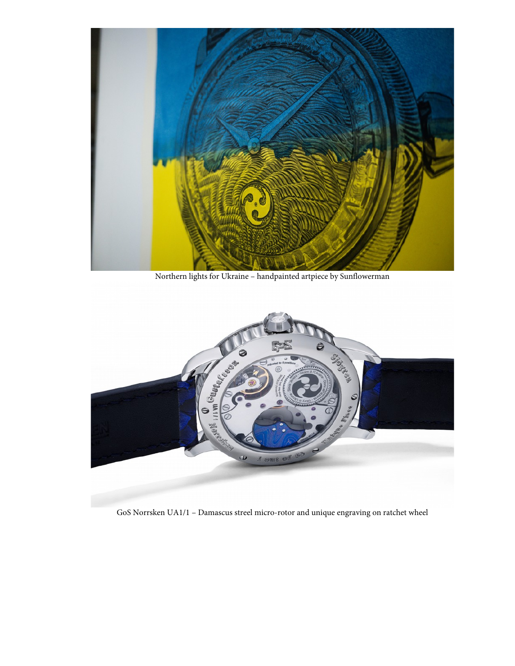

Northern lights for Ukraine – handpainted artpiece by Sunflowerman



GoS Norrsken UA1/1 – Damascus streel micro-rotor and unique engraving on ratchet wheel